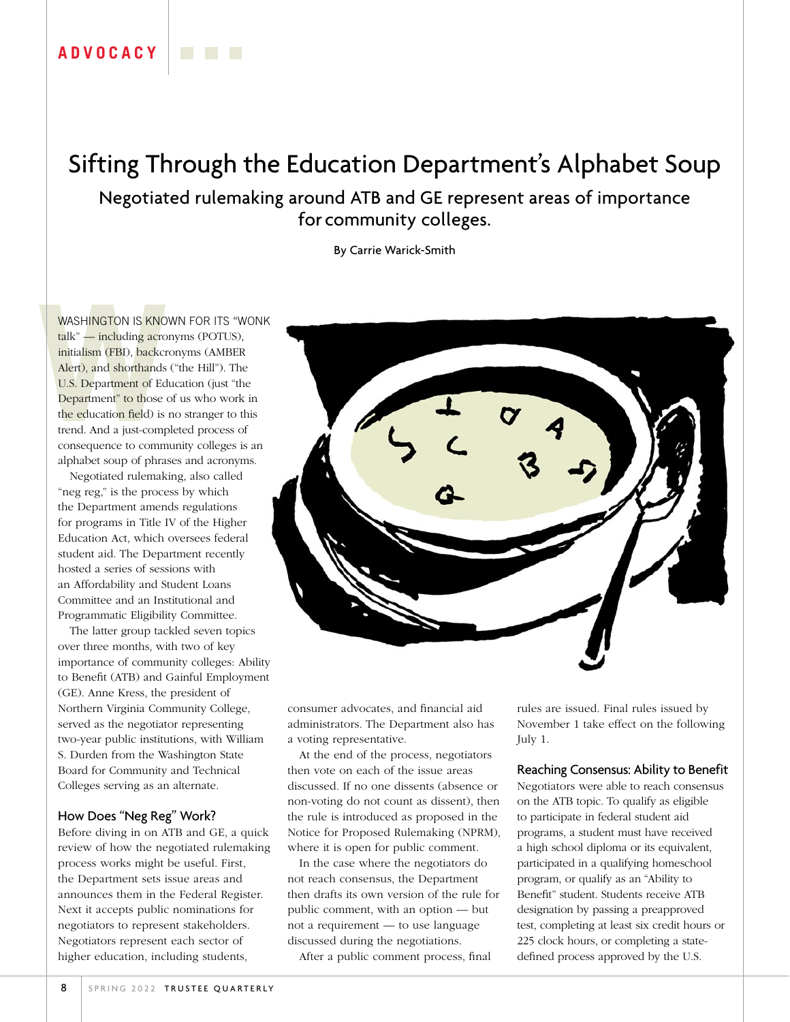## **ADVOCACY**

# Sifting Through the Education Department's Alphabet Soup

Negotiated rulemaking around ATB and GE represent areas of importance for community colleges.

By Carrie Warick-Smith

WASHINGTON IS KNOW<br>
talk" — including acro<br>
initialism (FBI), backcre<br>
Alert), and shorthands<br>
U.S. Department of Edu<br>
Department" to those c<br>
the education field) is i<br>
trend. And a just-comp<br>
consequence to comm WASHINGTON IS KNOWN FOR ITS "WONK talk" — including acronyms (POTUS), initialism (FBI), backcronyms (AMBER Alert), and shorthands ("the Hill"). The U.S. Department of Education (just "the Department" to those of us who work in the education field) is no stranger to this trend. And a just-completed process of consequence to community colleges is an alphabet soup of phrases and acronyms.

Negotiated rulemaking, also called "neg reg," is the process by which the Department amends regulations for programs in Title IV of the Higher Education Act, which oversees federal student aid. The Department recently hosted a series of sessions with an Affordability and Student Loans Committee and an Institutional and Programmatic Eligibility Committee.

The latter group tackled seven topics over three months, with two of key importance of community colleges: Ability to Benefit (ATB) and Gainful Employment (GE). Anne Kress, the president of Northern Virginia Community College, served as the negotiator representing two-year public institutions, with William S. Durden from the Washington State Board for Community and Technical Colleges serving as an alternate.

#### How Does "Neg Reg" Work?

Before diving in on ATB and GE, a quick review of how the negotiated rulemaking process works might be useful. First, the Department sets issue areas and announces them in the Federal Register. Next it accepts public nominations for negotiators to represent stakeholders. Negotiators represent each sector of higher education, including students,



consumer advocates, and financial aid administrators. The Department also has a voting representative.

At the end of the process, negotiators then vote on each of the issue areas discussed. If no one dissents (absence or non-voting do not count as dissent), then the rule is introduced as proposed in the Notice for Proposed Rulemaking (NPRM), where it is open for public comment.

In the case where the negotiators do not reach consensus, the Department then drafts its own version of the rule for public comment, with an option — but not a requirement — to use language discussed during the negotiations.

After a public comment process, final

rules are issued. Final rules issued by November 1 take effect on the following July 1.

#### Reaching Consensus: Ability to Benefit

Negotiators were able to reach consensus on the ATB topic. To qualify as eligible to participate in federal student aid programs, a student must have received a high school diploma or its equivalent, participated in a qualifying homeschool program, or qualify as an "Ability to Benefit" student. Students receive ATB designation by passing a preapproved test, completing at least six credit hours or 225 clock hours, or completing a statedefined process approved by the U.S.